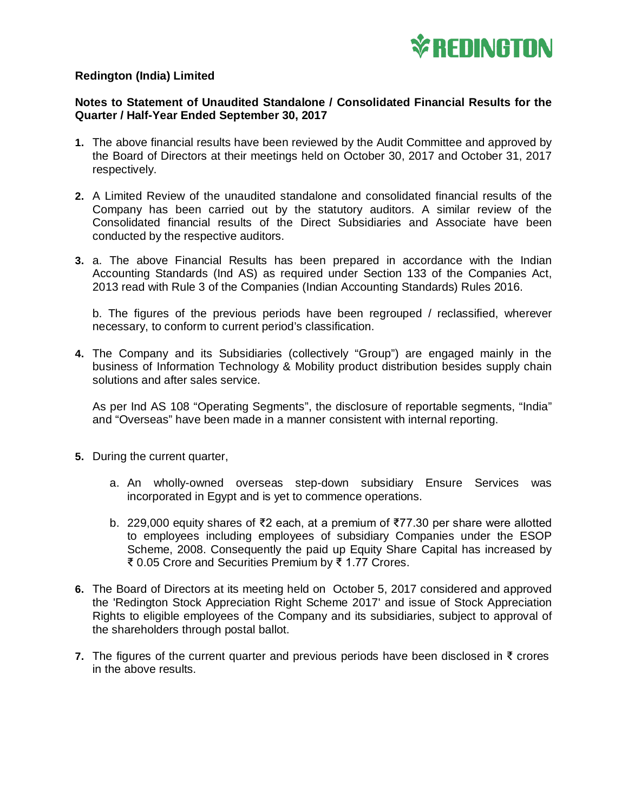

## **Redington (India) Limited**

## **Notes to Statement of Unaudited Standalone / Consolidated Financial Results for the Quarter / Half-Year Ended September 30, 2017**

- **1.** The above financial results have been reviewed by the Audit Committee and approved by the Board of Directors at their meetings held on October 30, 2017 and October 31, 2017 respectively.
- **2.** A Limited Review of the unaudited standalone and consolidated financial results of the Company has been carried out by the statutory auditors. A similar review of the Consolidated financial results of the Direct Subsidiaries and Associate have been conducted by the respective auditors.
- **3.** a. The above Financial Results has been prepared in accordance with the Indian Accounting Standards (Ind AS) as required under Section 133 of the Companies Act, 2013 read with Rule 3 of the Companies (Indian Accounting Standards) Rules 2016.

b. The figures of the previous periods have been regrouped / reclassified, wherever necessary, to conform to current period's classification.

**4.** The Company and its Subsidiaries (collectively "Group") are engaged mainly in the business of Information Technology & Mobility product distribution besides supply chain solutions and after sales service.

As per Ind AS 108 "Operating Segments", the disclosure of reportable segments, "India" and "Overseas" have been made in a manner consistent with internal reporting.

- **5.** During the current quarter,
	- a. An wholly-owned overseas step-down subsidiary Ensure Services was incorporated in Egypt and is yet to commence operations.
	- b. 229,000 equity shares of ₹2 each, at a premium of ₹77.30 per share were allotted to employees including employees of subsidiary Companies under the ESOP Scheme, 2008. Consequently the paid up Equity Share Capital has increased by ₹ 0.05 Crore and Securities Premium by ₹ 1.77 Crores.
- **6.** The Board of Directors at its meeting held on October 5, 2017 considered and approved the 'Redington Stock Appreciation Right Scheme 2017' and issue of Stock Appreciation Rights to eligible employees of the Company and its subsidiaries, subject to approval of the shareholders through postal ballot.
- **7.** The figures of the current quarter and previous periods have been disclosed in ₹ crores in the above results.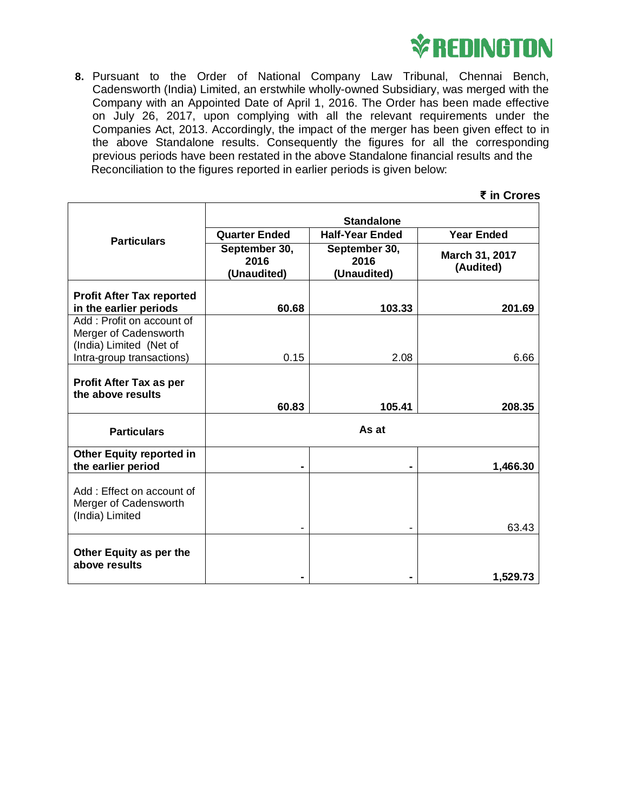

**8.** Pursuant to the Order of National Company Law Tribunal, Chennai Bench, Cadensworth (India) Limited, an erstwhile wholly-owned Subsidiary, was merged with the Company with an Appointed Date of April 1, 2016. The Order has been made effective on July 26, 2017, upon complying with all the relevant requirements under the Companies Act, 2013. Accordingly, the impact of the merger has been given effect to in the above Standalone results. Consequently the figures for all the corresponding previous periods have been restated in the above Standalone financial results and the Reconciliation to the figures reported in earlier periods is given below:

|                                                                               |                                                |                                      | ₹ in Crores                 |  |  |
|-------------------------------------------------------------------------------|------------------------------------------------|--------------------------------------|-----------------------------|--|--|
|                                                                               | <b>Standalone</b>                              |                                      |                             |  |  |
| <b>Particulars</b>                                                            | <b>Half-Year Ended</b><br><b>Quarter Ended</b> |                                      | <b>Year Ended</b>           |  |  |
|                                                                               | September 30,<br>2016<br>(Unaudited)           | September 30,<br>2016<br>(Unaudited) | March 31, 2017<br>(Audited) |  |  |
| <b>Profit After Tax reported</b><br>in the earlier periods                    | 60.68                                          | 103.33                               | 201.69                      |  |  |
| Add: Profit on account of<br>Merger of Cadensworth<br>(India) Limited (Net of |                                                |                                      |                             |  |  |
| Intra-group transactions)                                                     | 0.15                                           | 2.08                                 | 6.66                        |  |  |
| <b>Profit After Tax as per</b><br>the above results                           | 60.83                                          | 105.41                               | 208.35                      |  |  |
| <b>Particulars</b>                                                            | As at                                          |                                      |                             |  |  |
| <b>Other Equity reported in</b><br>the earlier period                         |                                                | -                                    | 1,466.30                    |  |  |
| Add: Effect on account of<br>Merger of Cadensworth<br>(India) Limited         |                                                |                                      | 63.43                       |  |  |
| Other Equity as per the<br>above results                                      |                                                |                                      | 1,529.73                    |  |  |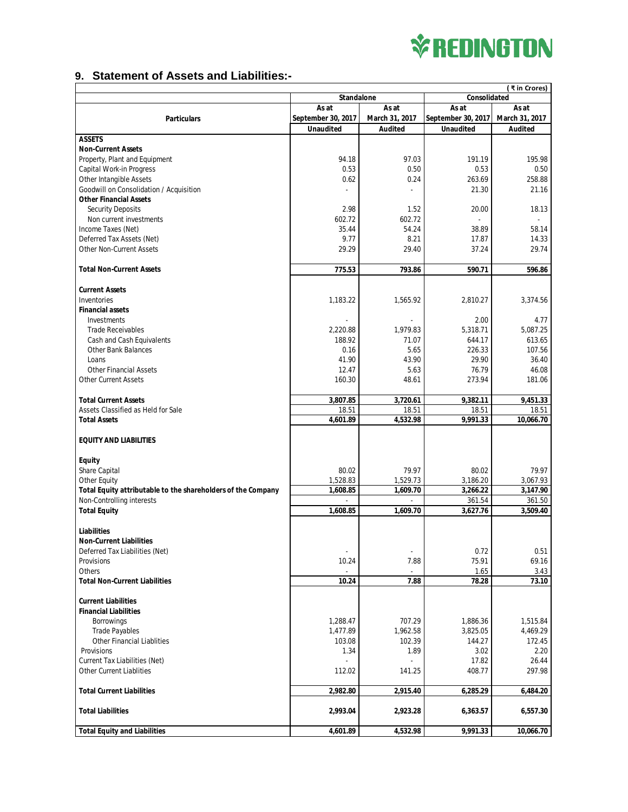

## **9. Statement of Assets and Liabilities:-**

| ₹ in Crores)                                                 |                                   |                   |                    |                    |  |  |
|--------------------------------------------------------------|-----------------------------------|-------------------|--------------------|--------------------|--|--|
|                                                              | Consolidated<br><b>Standalone</b> |                   |                    |                    |  |  |
|                                                              | As at                             | As at             |                    | As at<br>As at     |  |  |
| <b>Particulars</b>                                           | September 30, 2017                | March 31, 2017    | September 30, 2017 | March 31, 2017     |  |  |
|                                                              | <b>Unaudited</b>                  | <b>Audited</b>    | <b>Unaudited</b>   | Audited            |  |  |
| <b>ASSETS</b>                                                |                                   |                   |                    |                    |  |  |
| <b>Non-Current Assets</b>                                    |                                   |                   |                    |                    |  |  |
| Property, Plant and Equipment                                | 94.18                             | 97.03             | 191.19             | 195.98             |  |  |
| Capital Work-in Progress                                     | 0.53                              | 0.50              | 0.53               | 0.50               |  |  |
| Other Intangible Assets                                      | 0.62                              | 0.24              | 263.69             | 258.88             |  |  |
| Goodwill on Consolidation / Acquisition                      |                                   |                   | 21.30              | 21.16              |  |  |
| <b>Other Financial Assets</b>                                |                                   |                   |                    |                    |  |  |
| Security Deposits                                            | 2.98                              | 1.52              | 20.00              | 18.13              |  |  |
| Non current investments                                      | 602.72                            | 602.72            | ÷,                 |                    |  |  |
| Income Taxes (Net)                                           | 35.44                             | 54.24             | 38.89              | 58.14              |  |  |
| Deferred Tax Assets (Net)                                    | 9.77                              | 8.21              | 17.87              | 14.33              |  |  |
| Other Non-Current Assets                                     | 29.29                             | 29.40             | 37.24              | 29.74              |  |  |
|                                                              |                                   |                   |                    |                    |  |  |
| <b>Total Non-Current Assets</b>                              | 775.53                            | 793.86            | 590.71             | 596.86             |  |  |
|                                                              |                                   |                   |                    |                    |  |  |
| <b>Current Assets</b>                                        |                                   |                   |                    |                    |  |  |
| Inventories                                                  | 1.183.22                          | 1.565.92          | 2,810.27           | 3,374.56           |  |  |
| <b>Financial assets</b><br>Investments                       |                                   |                   |                    |                    |  |  |
|                                                              |                                   |                   | 2.00<br>5,318.71   | 4.77               |  |  |
| Trade Receivables                                            | 2,220.88<br>188.92                | 1,979.83<br>71.07 | 644.17             | 5,087.25<br>613.65 |  |  |
| Cash and Cash Equivalents<br><b>Other Bank Balances</b>      | 0.16                              | 5.65              | 226.33             | 107.56             |  |  |
| Loans                                                        | 41.90                             | 43.90             | 29.90              | 36.40              |  |  |
| <b>Other Financial Assets</b>                                | 12.47                             | 5.63              | 76.79              | 46.08              |  |  |
| <b>Other Current Assets</b>                                  | 160.30                            | 48.61             | 273.94             | 181.06             |  |  |
|                                                              |                                   |                   |                    |                    |  |  |
| <b>Total Current Assets</b>                                  | 3,807.85                          | 3,720.61          | 9,382.11           | 9,451.33           |  |  |
| Assets Classified as Held for Sale                           | 18.51                             | 18.51             | 18.51              | 18.51              |  |  |
| <b>Total Assets</b>                                          | 4,601.89                          | 4,532.98          | 9,991.33           | 10,066.70          |  |  |
|                                                              |                                   |                   |                    |                    |  |  |
| <b>EQUITY AND LIABILITIES</b>                                |                                   |                   |                    |                    |  |  |
|                                                              |                                   |                   |                    |                    |  |  |
| <b>Equity</b>                                                |                                   |                   |                    |                    |  |  |
| Share Capital                                                | 80.02                             | 79.97             | 80.02              | 79.97              |  |  |
| Other Equity                                                 | 1,528.83                          | 1,529.73          | 3,186.20           | 3,067.93           |  |  |
| Total Equity attributable to the shareholders of the Company | 1,608.85                          | 1,609.70          | 3,266.22           | 3,147.90           |  |  |
| Non-Controlling interests                                    |                                   |                   | 361.54             | 361.50             |  |  |
| <b>Total Equity</b>                                          | 1.608.85                          | 1,609.70          | 3,627.76           | 3,509.40           |  |  |
|                                                              |                                   |                   |                    |                    |  |  |
| Liabilities                                                  |                                   |                   |                    |                    |  |  |
| <b>Non-Current Liabilities</b>                               |                                   |                   |                    |                    |  |  |
| Deferred Tax Liabilities (Net)                               |                                   |                   | 0.72               | 0.51               |  |  |
| Provisions                                                   | 10.24                             | 7.88              | 75.91              | 69.16              |  |  |
| Others                                                       |                                   |                   | 1.65               | 3.43               |  |  |
| <b>Total Non-Current Liabilities</b>                         | 10.24                             | 7.88              | 78.28              | 73.10              |  |  |
|                                                              |                                   |                   |                    |                    |  |  |
| <b>Current Liabilities</b>                                   |                                   |                   |                    |                    |  |  |
| <b>Financial Liabilities</b>                                 |                                   |                   |                    |                    |  |  |
| <b>Borrowings</b>                                            | 1,288.47                          | 707.29            | 1,886.36           | 1,515.84           |  |  |
| <b>Trade Payables</b>                                        | 1,477.89                          | 1,962.58          | 3,825.05           | 4,469.29           |  |  |
| Other Financial Liablities                                   | 103.08                            | 102.39            | 144.27             | 172.45             |  |  |
| Provisions                                                   | 1.34                              | 1.89              | 3.02               | 2.20               |  |  |
| Current Tax Liabilities (Net)                                |                                   |                   | 17.82              | 26.44              |  |  |
| Other Current Liablities                                     | 112.02                            | 141.25            | 408.77             | 297.98             |  |  |
| <b>Total Current Liabilities</b>                             |                                   |                   |                    |                    |  |  |
|                                                              | 2,982.80                          | 2,915.40          | 6,285.29           | 6,484.20           |  |  |
| <b>Total Liabilities</b>                                     | 2,993.04                          | 2,923.28          | 6,363.57           | 6,557.30           |  |  |
|                                                              |                                   |                   |                    |                    |  |  |
| <b>Total Equity and Liabilities</b>                          | 4,601.89                          | 4,532.98          | 9,991.33           | 10,066.70          |  |  |